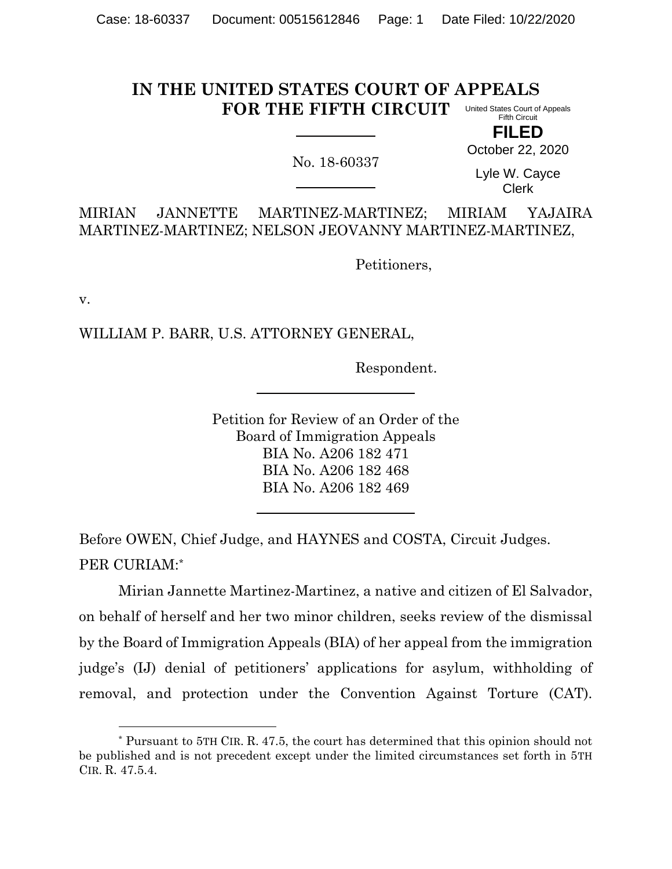## **IN THE UNITED STATES COURT OF APPEALS FOR THE FIFTH CIRCUIT** United States Court of Appeals Fifth Circuit

**FILED**

No. 18-60337

October 22, 2020

Lyle W. Cayce Clerk

MIRIAN JANNETTE MARTINEZ-MARTINEZ; MIRIAM YAJAIRA MARTINEZ-MARTINEZ; NELSON JEOVANNY MARTINEZ-MARTINEZ,

Petitioners,

v.

WILLIAM P. BARR, U.S. ATTORNEY GENERAL,

Respondent.

Petition for Review of an Order of the Board of Immigration Appeals BIA No. A206 182 471 BIA No. A206 182 468 BIA No. A206 182 469

Before OWEN, Chief Judge, and HAYNES and COSTA, Circuit Judges. PER CURIAM:\*

Mirian Jannette Martinez-Martinez, a native and citizen of El Salvador, on behalf of herself and her two minor children, seeks review of the dismissal by the Board of Immigration Appeals (BIA) of her appeal from the immigration judge's (IJ) denial of petitioners' applications for asylum, withholding of removal, and protection under the Convention Against Torture (CAT).

<sup>\*</sup> Pursuant to 5TH CIR. R. 47.5, the court has determined that this opinion should not be published and is not precedent except under the limited circumstances set forth in 5TH CIR. R. 47.5.4.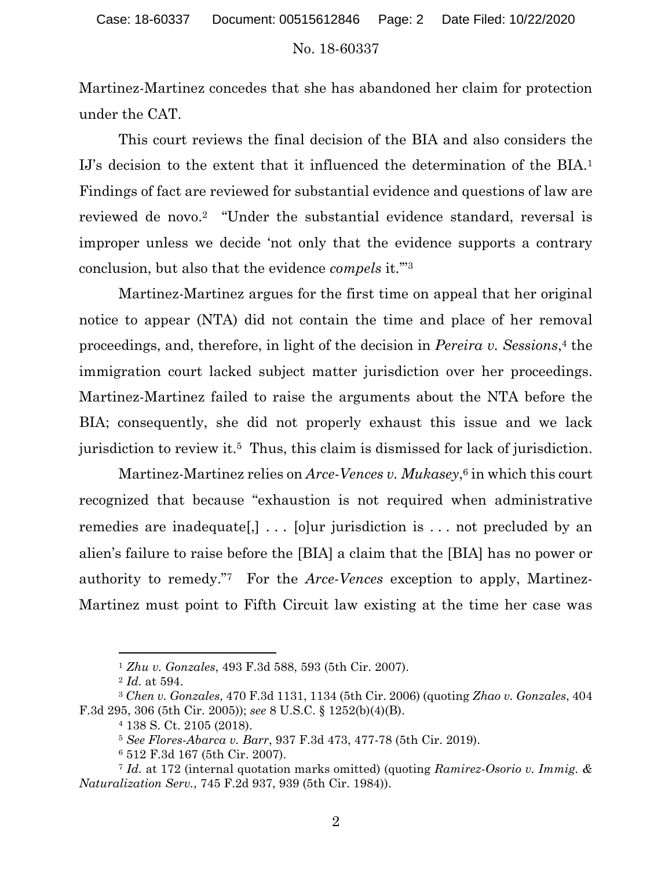Martinez-Martinez concedes that she has abandoned her claim for protection under the CAT.

This court reviews the final decision of the BIA and also considers the IJ's decision to the extent that it influenced the determination of the BIA.<sup>1</sup> Findings of fact are reviewed for substantial evidence and questions of law are reviewed de novo.<sup>2</sup> "Under the substantial evidence standard, reversal is improper unless we decide 'not only that the evidence supports a contrary conclusion, but also that the evidence *compels* it.'" 3

Martinez-Martinez argues for the first time on appeal that her original notice to appear (NTA) did not contain the time and place of her removal proceedings, and, therefore, in light of the decision in *Pereira v. Sessions*, <sup>4</sup> the immigration court lacked subject matter jurisdiction over her proceedings. Martinez-Martinez failed to raise the arguments about the NTA before the BIA; consequently, she did not properly exhaust this issue and we lack jurisdiction to review it. <sup>5</sup> Thus, this claim is dismissed for lack of jurisdiction.

Martinez-Martinez relies on *Arce-Vences v. Mukasey*, <sup>6</sup> in which this court recognized that because "exhaustion is not required when administrative remedies are inadequate[,] ... [o]ur jurisdiction is ... not precluded by an alien's failure to raise before the [BIA] a claim that the [BIA] has no power or authority to remedy."7 For the *Arce-Vences* exception to apply, Martinez-Martinez must point to Fifth Circuit law existing at the time her case was

<sup>1</sup> *Zhu v. Gonzales*, 493 F.3d 588, 593 (5th Cir. 2007).

<sup>2</sup> *Id.* at 594.

<sup>3</sup> *Chen v. Gonzales*, 470 F.3d 1131, 1134 (5th Cir. 2006) (quoting *Zhao v. Gonzales*, 404 F.3d 295, 306 (5th Cir. 2005)); *see* 8 U.S.C. § 1252(b)(4)(B).

<sup>4</sup> 138 S. Ct. 2105 (2018).

<sup>5</sup> *See Flores-Abarca v. Barr*, 937 F.3d 473, 477-78 (5th Cir. 2019).

<sup>6</sup> 512 F.3d 167 (5th Cir. 2007).

<sup>7</sup> *Id.* at 172 (internal quotation marks omitted) (quoting *Ramirez-Osorio v. Immig. & Naturalization Serv.*, 745 F.2d 937, 939 (5th Cir. 1984)).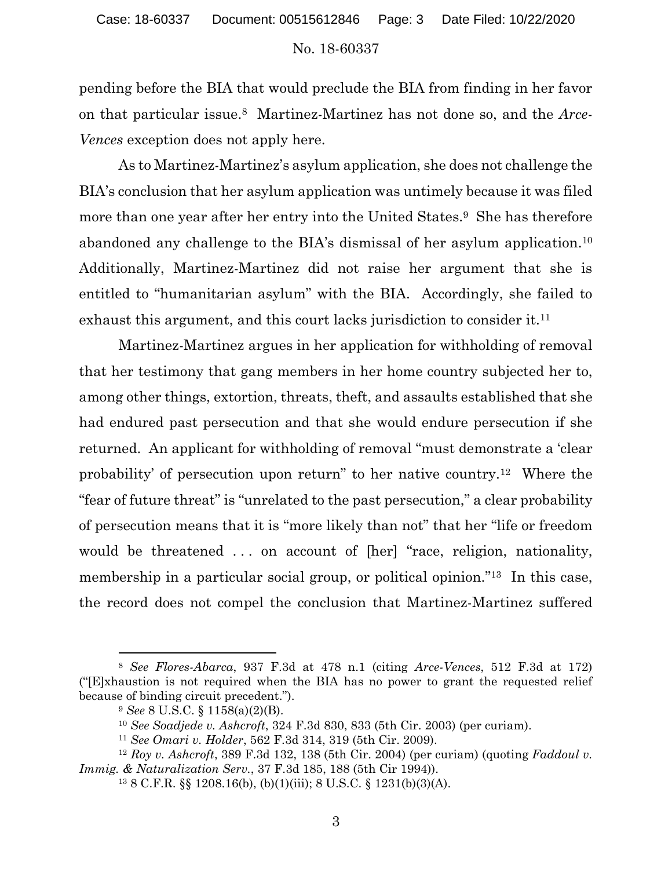pending before the BIA that would preclude the BIA from finding in her favor on that particular issue.8 Martinez-Martinez has not done so, and the *Arce-Vences* exception does not apply here.

As to Martinez-Martinez's asylum application, she does not challenge the BIA's conclusion that her asylum application was untimely because it was filed more than one year after her entry into the United States.9 She has therefore abandoned any challenge to the BIA's dismissal of her asylum application.<sup>10</sup> Additionally, Martinez-Martinez did not raise her argument that she is entitled to "humanitarian asylum" with the BIA. Accordingly, she failed to exhaust this argument, and this court lacks jurisdiction to consider it.<sup>11</sup>

Martinez-Martinez argues in her application for withholding of removal that her testimony that gang members in her home country subjected her to, among other things, extortion, threats, theft, and assaults established that she had endured past persecution and that she would endure persecution if she returned. An applicant for withholding of removal "must demonstrate a 'clear probability' of persecution upon return" to her native country.12 Where the "fear of future threat" is "unrelated to the past persecution," a clear probability of persecution means that it is "more likely than not" that her "life or freedom would be threatened ... on account of [her] "race, religion, nationality, membership in a particular social group, or political opinion.<sup>"13</sup> In this case, the record does not compel the conclusion that Martinez-Martinez suffered

<sup>8</sup> *See Flores-Abarca*, 937 F.3d at 478 n.1 (citing *Arce-Vences*, 512 F.3d at 172) ("[E]xhaustion is not required when the BIA has no power to grant the requested relief because of binding circuit precedent.").

<sup>9</sup> *See* 8 U.S.C. § 1158(a)(2)(B).

<sup>10</sup> *See Soadjede v. Ashcroft*, 324 F.3d 830, 833 (5th Cir. 2003) (per curiam).

<sup>11</sup> *See Omari v. Holder*, 562 F.3d 314, 319 (5th Cir. 2009).

<sup>12</sup> *Roy v. Ashcroft*, 389 F.3d 132, 138 (5th Cir. 2004) (per curiam) (quoting *Faddoul v. Immig. & Naturalization Serv.*, 37 F.3d 185, 188 (5th Cir 1994)).

<sup>13</sup> 8 C.F.R. §§ 1208.16(b), (b)(1)(iii); 8 U.S.C. § 1231(b)(3)(A).